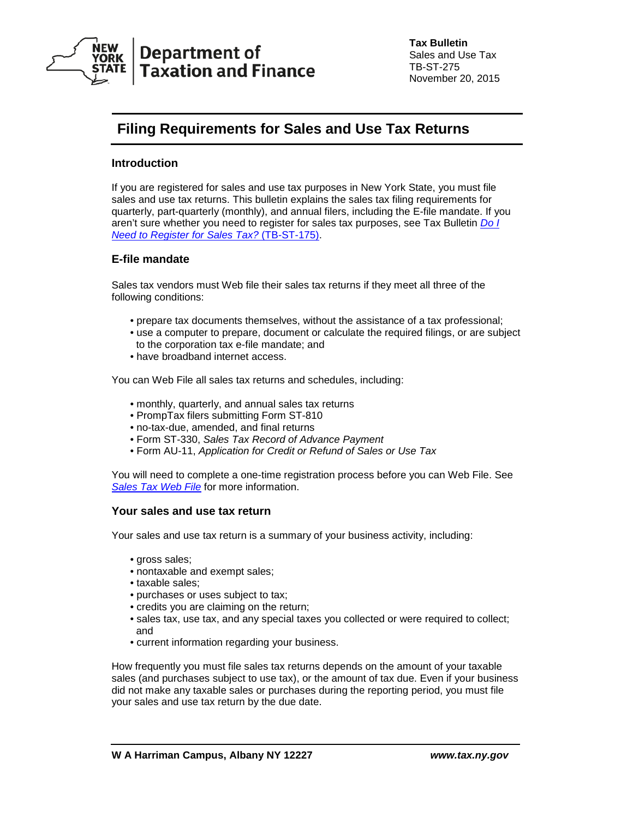

# **Filing Requirements for Sales and Use Tax Returns**

# **Introduction**

If you are registered for sales and use tax purposes in New York State, you must file sales and use tax returns. This bulletin explains the sales tax filing requirements for quarterly, part-quarterly (monthly), and annual filers, including the E-file mandate. If you aren't sure whether you need to register for sales tax purposes, see Tax Bulletin *[Do I](http://www.tax.ny.gov/pubs_and_bulls/tg_bulletins/st/do_i_need_to_register_for_sales_tax.htm)  [Need to Register for Sales Tax?](http://www.tax.ny.gov/pubs_and_bulls/tg_bulletins/st/do_i_need_to_register_for_sales_tax.htm)* (TB-ST-175).

# **E-file mandate**

Sales tax vendors must Web file their sales tax returns if they meet all three of the following conditions:

- prepare tax documents themselves, without the assistance of a tax professional;
- use a computer to prepare, document or calculate the required filings, or are subject to the corporation tax e-file mandate; and
- have broadband internet access.

You can Web File all sales tax returns and schedules, including:

- monthly, quarterly, and annual sales tax returns
- PrompTax filers submitting Form ST-810
- no-tax-due, amended, and final returns
- Form ST-330, *Sales Tax Record of Advance Payment*
- Form AU-11, *Application for Credit or Refund of Sales or Use Tax*

You will need to complete a one-time registration process before you can Web File. See **[Sales Tax Web File](http://www.tax.ny.gov/bus/st/stmp.htm)** for more information.

## **Your sales and use tax return**

Your sales and use tax return is a summary of your business activity, including:

- gross sales;
- nontaxable and exempt sales;
- taxable sales;
- purchases or uses subject to tax;
- credits you are claiming on the return;
- sales tax, use tax, and any special taxes you collected or were required to collect; and
- current information regarding your business.

How frequently you must file sales tax returns depends on the amount of your taxable sales (and purchases subject to use tax), or the amount of tax due. Even if your business did not make any taxable sales or purchases during the reporting period, you must file your sales and use tax return by the due date.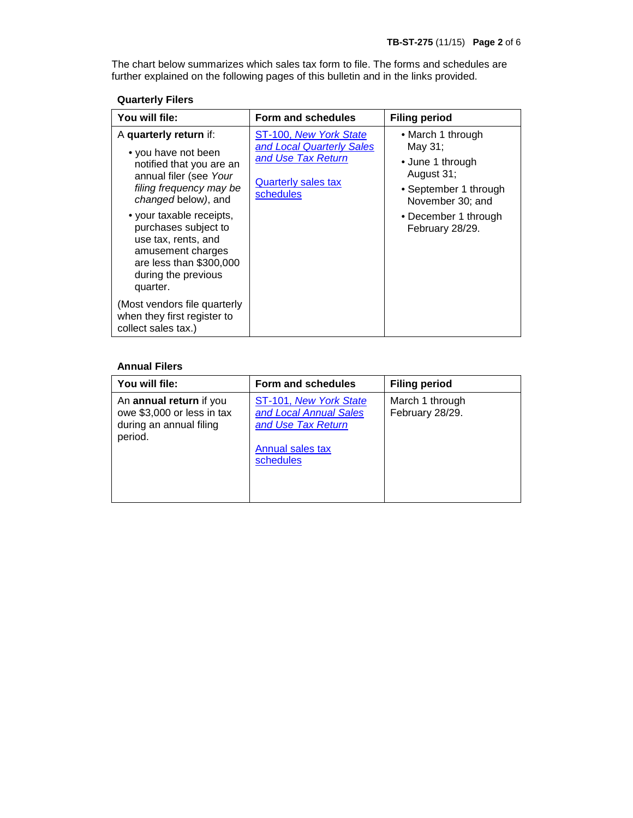The chart below summarizes which sales tax form to file. The forms and schedules are further explained on the following pages of this bulletin and in the links provided.

# **Quarterly Filers**

| You will file:                                                                                                                                             | Form and schedules                                                                                                   | <b>Filing period</b>                                                                                        |
|------------------------------------------------------------------------------------------------------------------------------------------------------------|----------------------------------------------------------------------------------------------------------------------|-------------------------------------------------------------------------------------------------------------|
| A quarterly return if:<br>• you have not been<br>notified that you are an<br>annual filer (see Your<br>filing frequency may be<br>changed below), and      | ST-100, New York State<br>and Local Quarterly Sales<br>and Use Tax Return<br><b>Quarterly sales tax</b><br>schedules | • March 1 through<br>May 31:<br>• June 1 through<br>August 31;<br>• September 1 through<br>November 30; and |
| • your taxable receipts,<br>purchases subject to<br>use tax, rents, and<br>amusement charges<br>are less than \$300,000<br>during the previous<br>quarter. |                                                                                                                      | • December 1 through<br>February 28/29.                                                                     |
| (Most vendors file quarterly<br>when they first register to<br>collect sales tax.)                                                                         |                                                                                                                      |                                                                                                             |

## **Annual Filers**

| You will file:                                                                              | Form and schedules                                                                                      | <b>Filing period</b>               |
|---------------------------------------------------------------------------------------------|---------------------------------------------------------------------------------------------------------|------------------------------------|
| An annual return if you<br>owe \$3,000 or less in tax<br>during an annual filing<br>period. | ST-101, New York State<br>and Local Annual Sales<br>and Use Tax Return<br>Annual sales tax<br>schedules | March 1 through<br>February 28/29. |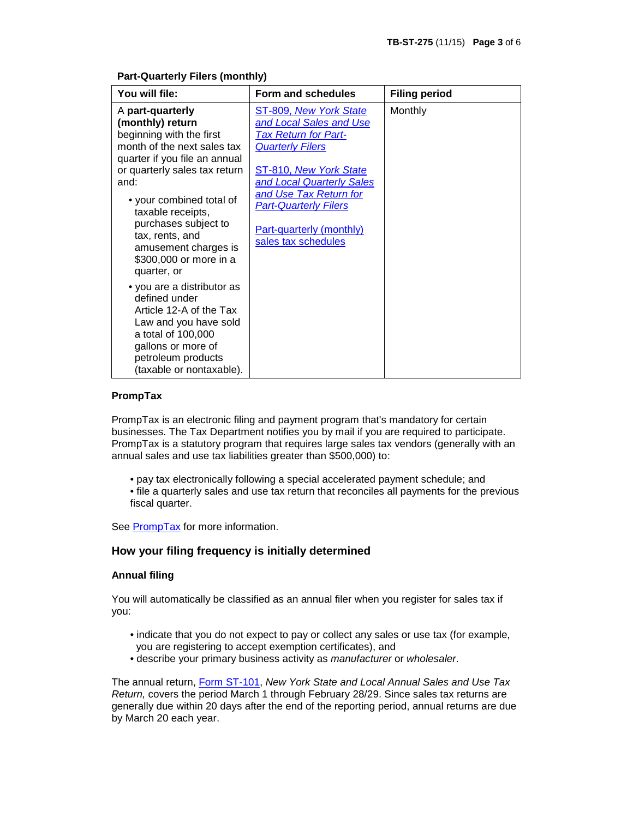| You will file:                                                                                                                                                                                                                                                                                                                         | Form and schedules                                                                                                                                                                                                                                                                     | <b>Filing period</b> |
|----------------------------------------------------------------------------------------------------------------------------------------------------------------------------------------------------------------------------------------------------------------------------------------------------------------------------------------|----------------------------------------------------------------------------------------------------------------------------------------------------------------------------------------------------------------------------------------------------------------------------------------|----------------------|
| A part-quarterly<br>(monthly) return<br>beginning with the first<br>month of the next sales tax<br>quarter if you file an annual<br>or quarterly sales tax return<br>and:<br>• your combined total of<br>taxable receipts,<br>purchases subject to<br>tax, rents, and<br>amusement charges is<br>\$300,000 or more in a<br>quarter, or | ST-809, New York State<br>and Local Sales and Use<br><b>Tax Return for Part-</b><br><b>Quarterly Filers</b><br>ST-810, New York State<br>and Local Quarterly Sales<br>and Use Tax Return for<br><b>Part-Quarterly Filers</b><br><b>Part-quarterly (monthly)</b><br>sales tax schedules | Monthly              |
| • you are a distributor as<br>defined under<br>Article 12-A of the Tax<br>Law and you have sold<br>a total of 100,000<br>gallons or more of<br>petroleum products<br>(taxable or nontaxable).                                                                                                                                          |                                                                                                                                                                                                                                                                                        |                      |

#### **Part-Quarterly Filers (monthly)**

#### **PrompTax**

PrompTax is an electronic filing and payment program that's mandatory for certain businesses. The Tax Department notifies you by mail if you are required to participate. PrompTax is a statutory program that requires large sales tax vendors (generally with an annual sales and use tax liabilities greater than \$500,000) to:

- pay tax electronically following a special accelerated payment schedule; and
- file a quarterly sales and use tax return that reconciles all payments for the previous fiscal quarter.

See [PrompTax](http://www.tax.ny.gov/bus/prompt/default.htm) for more information.

## **How your filing frequency is initially determined**

## **Annual filing**

You will automatically be classified as an annual filer when you register for sales tax if you:

- indicate that you do not expect to pay or collect any sales or use tax (for example, you are registering to accept exemption certificates), and
- describe your primary business activity as *manufacturer* or *wholesaler*.

The annual return, [Form ST-101,](http://www.tax.ny.gov/bus/ads/webst101.htm) *New York State and Local Annual Sales and Use Tax Return,* covers the period March 1 through February 28/29. Since sales tax returns are generally due within 20 days after the end of the reporting period, annual returns are due by March 20 each year.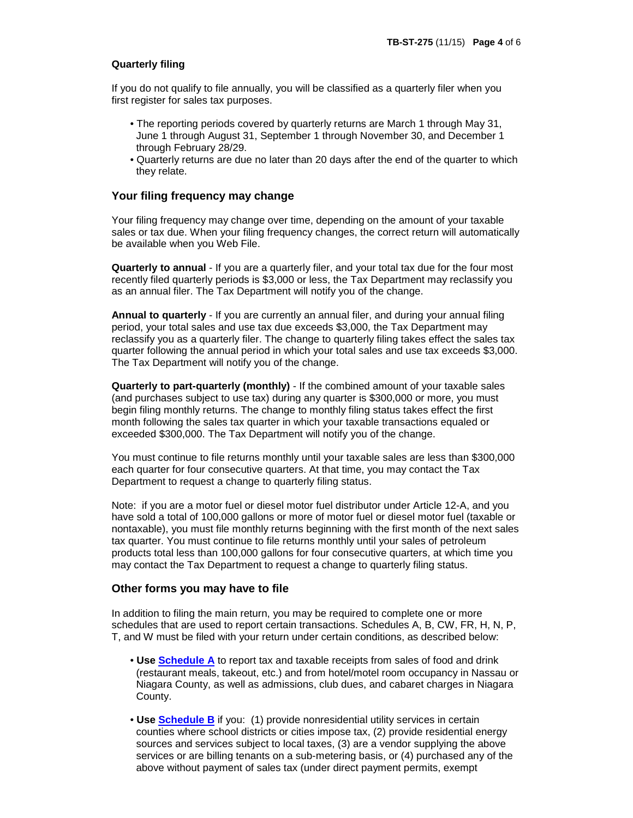## **Quarterly filing**

If you do not qualify to file annually, you will be classified as a quarterly filer when you first register for sales tax purposes.

- The reporting periods covered by quarterly returns are March 1 through May 31, June 1 through August 31, September 1 through November 30, and December 1 through February 28/29.
- Quarterly returns are due no later than 20 days after the end of the quarter to which they relate.

## **Your filing frequency may change**

Your filing frequency may change over time, depending on the amount of your taxable sales or tax due. When your filing frequency changes, the correct return will automatically be available when you Web File.

**Quarterly to annual** - If you are a quarterly filer, and your total tax due for the four most recently filed quarterly periods is \$3,000 or less, the Tax Department may reclassify you as an annual filer. The Tax Department will notify you of the change.

**Annual to quarterly** - If you are currently an annual filer, and during your annual filing period, your total sales and use tax due exceeds \$3,000, the Tax Department may reclassify you as a quarterly filer. The change to quarterly filing takes effect the sales tax quarter following the annual period in which your total sales and use tax exceeds \$3,000. The Tax Department will notify you of the change.

**Quarterly to part-quarterly (monthly)** - If the combined amount of your taxable sales (and purchases subject to use tax) during any quarter is \$300,000 or more, you must begin filing monthly returns. The change to monthly filing status takes effect the first month following the sales tax quarter in which your taxable transactions equaled or exceeded \$300,000. The Tax Department will notify you of the change.

You must continue to file returns monthly until your taxable sales are less than \$300,000 each quarter for four consecutive quarters. At that time, you may contact the Tax Department to request a change to quarterly filing status.

Note: if you are a motor fuel or diesel motor fuel distributor under Article 12-A, and you have sold a total of 100,000 gallons or more of motor fuel or diesel motor fuel (taxable or nontaxable), you must file monthly returns beginning with the first month of the next sales tax quarter. You must continue to file returns monthly until your sales of petroleum products total less than 100,000 gallons for four consecutive quarters, at which time you may contact the Tax Department to request a change to quarterly filing status.

## **Other forms you may have to file**

In addition to filing the main return, you may be required to complete one or more schedules that are used to report certain transactions. Schedules A, B, CW, FR, H, N, P, T, and W must be filed with your return under certain conditions, as described below:

- **Use [Schedule A](http://www.tax.ny.gov/e-services/stmi/sch_a.htm)** to report tax and taxable receipts from sales of food and drink (restaurant meals, takeout, etc.) and from hotel/motel room occupancy in Nassau or Niagara County, as well as admissions, club dues, and cabaret charges in Niagara County.
- **Use [Schedule B](http://www.tax.ny.gov/e-services/stmi/sch_b.htm)** if you: (1) provide nonresidential utility services in certain counties where school districts or cities impose tax, (2) provide residential energy sources and services subject to local taxes, (3) are a vendor supplying the above services or are billing tenants on a sub-metering basis, or (4) purchased any of the above without payment of sales tax (under direct payment permits, exempt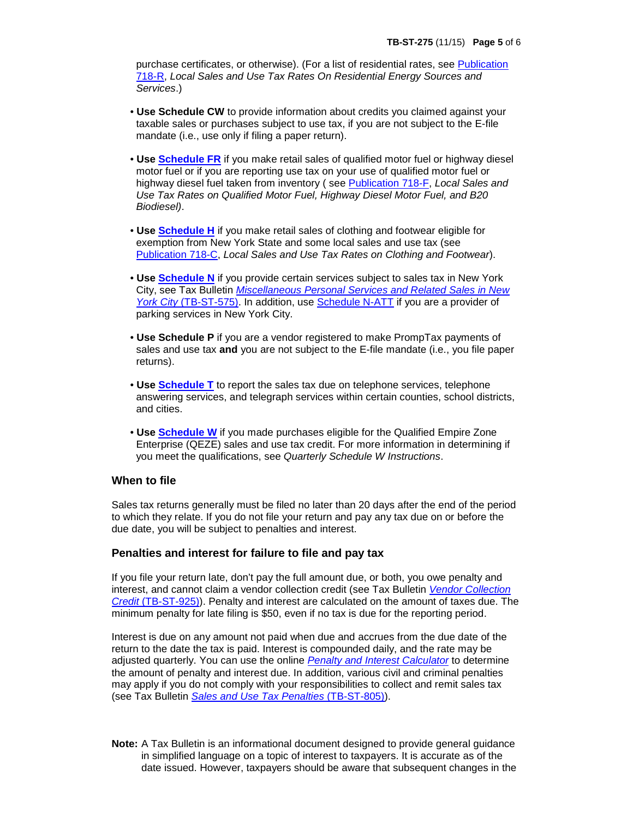purchase certificates, or otherwise). (For a list of residential rates, see [Publication](http://www.tax.ny.gov/pdf/publications/sales/pub718r.pdf)  [718-R,](http://www.tax.ny.gov/pdf/publications/sales/pub718r.pdf) *Local Sales and Use Tax Rates On Residential Energy Sources and Services*.)

- **Use Schedule CW** to provide information about credits you claimed against your taxable sales or purchases subject to use tax, if you are not subject to the E-file mandate (i.e., use only if filing a paper return).
- **Use [Schedule FR](http://www.tax.ny.gov/e-services/stmi/sch_fr.htm)** if you make retail sales of qualified motor fuel or highway diesel motor fuel or if you are reporting use tax on your use of qualified motor fuel or highway diesel fuel taken from inventory ( see [Publication 718-F,](http://www.tax.ny.gov/pdf/publications/sales/pub718f.pdf) *Local Sales and Use Tax Rates on Qualified Motor Fuel, Highway Diesel Motor Fuel, and B20 Biodiesel)*.
- **Use [Schedule H](http://www.tax.ny.gov/e-services/stmi/sch_h.htm)** if you make retail sales of clothing and footwear eligible for exemption from New York State and some local sales and use tax (see [Publication](http://www.tax.ny.gov/pdf/publications/sales/pub718c.pdf) 718-C, *Local Sales and Use Tax Rates on Clothing and Footwear*).
- **Use [Schedule](http://www.tax.ny.gov/e-services/stmi/sch_n.htm) N** if you provide certain services subject to sales tax in New York City, see Tax Bulletin *[Miscellaneous Personal Services and Related Sales in New](http://www.tax.ny.gov/pubs_and_bulls/tg_bulletins/st/nyc_personal_services.htm)  York City* [\(TB-ST-575\).](http://www.tax.ny.gov/pubs_and_bulls/tg_bulletins/st/nyc_personal_services.htm) In addition, use [Schedule N-ATT](http://tax.ny.gov/e-services/stmi/sch_natt.htm) if you are a provider of parking services in New York City.
- **Use Schedule P** if you are a vendor registered to make PrompTax payments of sales and use tax **and** you are not subject to the E-file mandate (i.e., you file paper returns).
- **Use [Schedule](http://www.tax.ny.gov/e-services/stmi/sch_t.htm) T** to report the sales tax due on telephone services, telephone answering services, and telegraph services within certain counties, school districts, and cities.
- **Use [Schedule W](http://www.tax.ny.gov/e-services/stmi/sch_w.htm)** if you made purchases eligible for the Qualified Empire Zone Enterprise (QEZE) sales and use tax credit. For more information in determining if you meet the qualifications, see *Quarterly Schedule W Instructions*.

## **When to file**

Sales tax returns generally must be filed no later than 20 days after the end of the period to which they relate. If you do not file your return and pay any tax due on or before the due date, you will be subject to penalties and interest.

## **Penalties and interest for failure to file and pay tax**

If you file your return late, don't pay the full amount due, or both, you owe penalty and interest, and cannot claim a vendor collection credit (see Tax Bulletin *[Vendor Collection](http://www.tax.ny.gov/pubs_and_bulls/tg_bulletins/st/vendor_collection_credit.htm)  Credit* [\(TB-ST-925\)\)](http://www.tax.ny.gov/pubs_and_bulls/tg_bulletins/st/vendor_collection_credit.htm). Penalty and interest are calculated on the amount of taxes due. The minimum penalty for late filing is \$50, even if no tax is due for the reporting period.

Interest is due on any amount not paid when due and accrues from the due date of the return to the date the tax is paid. Interest is compounded daily, and the rate may be adjusted quarterly. You can use the online *[Penalty and Interest Calculator](http://www8.nystax.gov/PAIC/paicHome)* to determine the amount of penalty and interest due. In addition, various civil and criminal penalties may apply if you do not comply with your responsibilities to collect and remit sales tax (see Tax Bulletin *[Sales and Use Tax Penalties](http://www.tax.ny.gov/pubs_and_bulls/tg_bulletins/st/sales_and_use_tax_penalties.htm)* (TB-ST-805)).

**Note:** A Tax Bulletin is an informational document designed to provide general guidance in simplified language on a topic of interest to taxpayers. It is accurate as of the date issued. However, taxpayers should be aware that subsequent changes in the